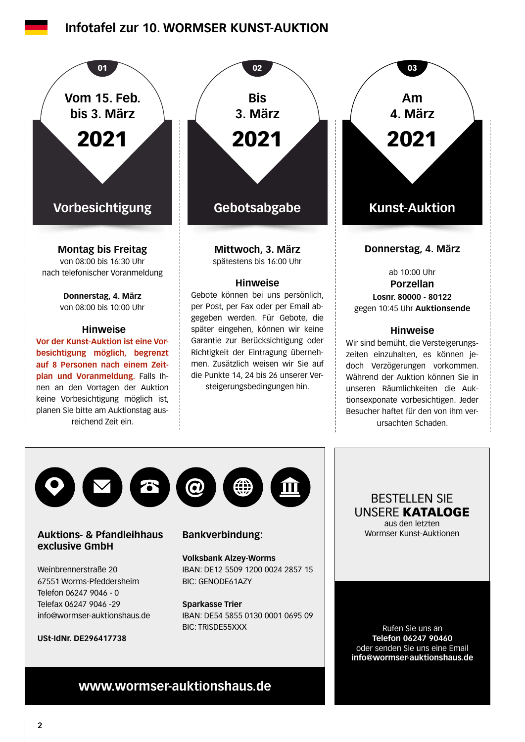## **Infotafel zur 10. WORMSER KUNST-AUKTION**



**Auktions- & Pfandleihhaus exclusive GmbH**

Weinbrennerstraße 20 67551 Worms-Pfeddersheim Telefon 06247 9046 - 0 Telefax 06247 9046 -29 info@wormser-auktionshaus.de

**USt-IdNr. DE296417738**

### **Bankverbindung:**

**Volksbank Alzey-Worms** IBAN: DE12 5509 1200 0024 2857 15 BIC: GENODE61AZY

**Sparkasse Trier** IBAN: DE54 5855 0130 0001 0695 09 BIC: TRISDE55XXX

BESTELLEN SIE UNSERE KATALOGE aus den letzten Wormser Kunst-Auktionen

Rufen Sie uns an **Telefon 06247 90460** oder senden Sie uns eine Email **info@wormser-auktionshaus.de**

# **www.wormser-auktionshaus.de**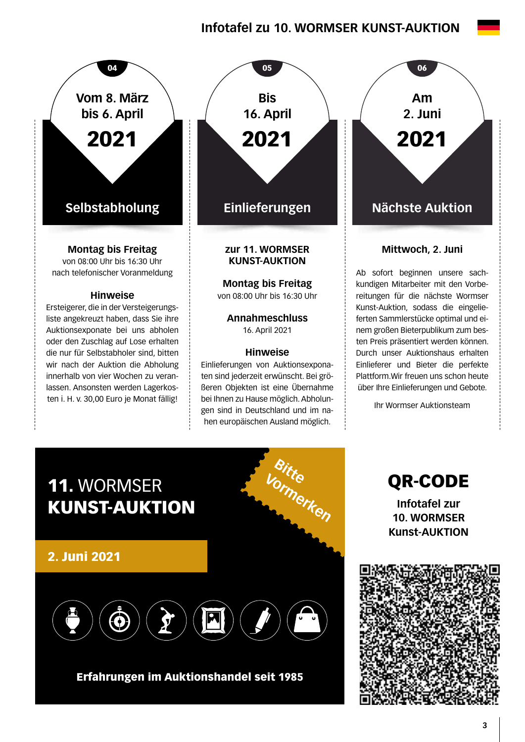# **Infotafel zu 10. WORMSER KUNST-AUKTION**



lassen. Ansonsten werden Lagerkosten i. H. v. 30,00 Euro je Monat fällig!

**zur 11. WORMSER KUNST-AUKTION Montag bis Freitag**  von 08:00 Uhr bis 16:30 Uhr  $04$  05 06 06 **Bis 16. April** 2021

> **Annahmeschluss**  16. April 2021

#### **Hinweise**

Einlieferungen von Auktionsexponaten sind jederzeit erwünscht. Bei größeren Objekten ist eine Übernahme bei Ihnen zu Hause möglich. Abholungen sind in Deutschland und im nahen europäischen Ausland möglich.

**Am 2. Juni** 2021

### **Mittwoch, 2. Juni**

Ab sofort beginnen unsere sachkundigen Mitarbeiter mit den Vorbereitungen für die nächste Wormser Kunst-Auktion, sodass die eingelieferten Sammlerstücke optimal und einem großen Bieterpublikum zum besten Preis präsentiert werden können. Durch unser Auktionshaus erhalten Einlieferer und Bieter die perfekte Plattform.Wir freuen uns schon heute über Ihre Einlieferungen und Gebote.

Ihr Wormser Auktionsteam



## Erfahrungen im Auktionshandel seit 1985

QR-CODE **Infotafel zur 10. WORMSER Kunst-AUKTION**

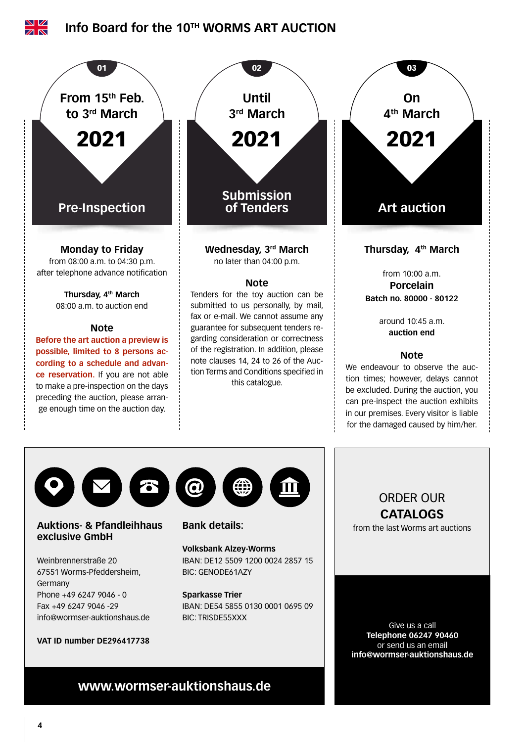





### **Auktions- & Pfandleihhaus exclusive GmbH**

Weinbrennerstraße 20 67551 Worms-Pfeddersheim, Germany Phone +49 6247 9046 - 0 Fax +49 6247 9046 -29 info@wormser-auktionshaus.de

#### **VAT ID number DE296417738**



## **Bank details:**

#### **Volksbank Alzey-Worms** IBAN: DE12 5509 1200 0024 2857 15 BIC: GENODE61AZY

#### **Sparkasse Trier**

IBAN: DE54 5855 0130 0001 0695 09 BIC: TRISDE55XXX

ORDER OUR **CATALOGS**

from the last Worms art auctions

Give us a call **Telephone 06247 90460** or send us an email **info@wormser-auktionshaus.de**

# **www.wormser-auktionshaus.de**